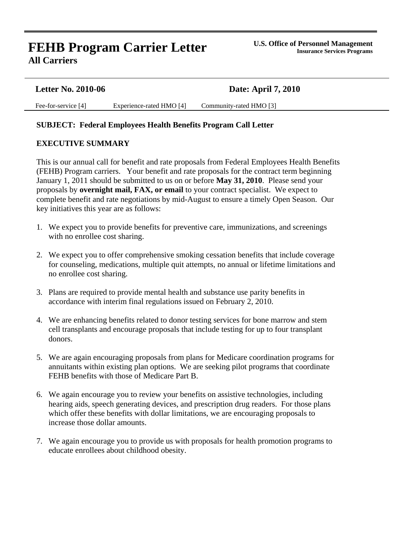# **FEHB Program Carrier Letter All Carriers**

| <b>Letter No. 2010-06</b> |                          | <b>Date: April 7, 2010</b> |
|---------------------------|--------------------------|----------------------------|
| Fee-for-service [4]       | Experience-rated HMO [4] | Community-rated HMO [3]    |

#### **SUBJECT: Federal Employees Health Benefits Program Call Letter**

#### **EXECUTIVE SUMMARY**

 This is our annual call for benefit and rate proposals from Federal Employees Health Benefits (FEHB) Program carriers. Your benefit and rate proposals for the contract term beginning January 1, 2011 should be submitted to us on or before **May 31, 2010**. Please send your proposals by **overnight mail, FAX, or email** to your contract specialist. We expect to complete benefit and rate negotiations by mid-August to ensure a timely Open Season. Our key initiatives this year are as follows:

- 1. We expect you to provide benefits for preventive care, immunizations, and screenings with no enrollee cost sharing.
- 2. We expect you to offer comprehensive smoking cessation benefits that include coverage for counseling, medications, multiple quit attempts, no annual or lifetime limitations and no enrollee cost sharing.
- 3. Plans are required to provide mental health and substance use parity benefits in accordance with interim final regulations issued on February 2, 2010.
- 4. We are enhancing benefits related to donor testing services for bone marrow and stem cell transplants and encourage proposals that include testing for up to four transplant donors.
- 5. We are again encouraging proposals from plans for Medicare coordination programs for annuitants within existing plan options. We are seeking pilot programs that coordinate FEHB benefits with those of Medicare Part B.
- 6. We again encourage you to review your benefits on assistive technologies, including hearing aids, speech generating devices, and prescription drug readers. For those plans which offer these benefits with dollar limitations, we are encouraging proposals to increase those dollar amounts.
- 7. We again encourage you to provide us with proposals for health promotion programs to educate enrollees about childhood obesity.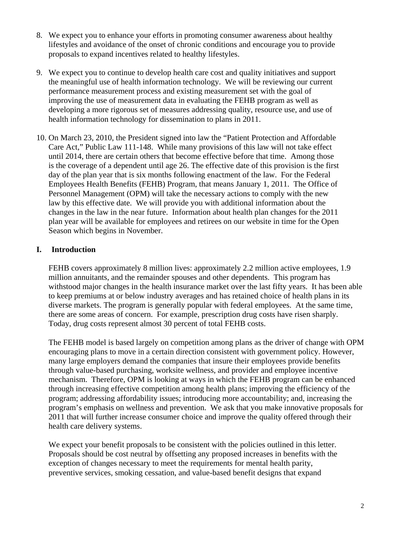- 8. We expect you to enhance your efforts in promoting consumer awareness about healthy lifestyles and avoidance of the onset of chronic conditions and encourage you to provide proposals to expand incentives related to healthy lifestyles.
- 9. We expect you to continue to develop health care cost and quality initiatives and support the meaningful use of health information technology. We will be reviewing our current performance measurement process and existing measurement set with the goal of improving the use of measurement data in evaluating the FEHB program as well as developing a more rigorous set of measures addressing quality, resource use, and use of health information technology for dissemination to plans in 2011.
- 10. On March 23, 2010, the President signed into law the "Patient Protection and Affordable Care Act," Public Law 111-148. While many provisions of this law will not take effect until 2014, there are certain others that become effective before that time. Among those is the coverage of a dependent until age 26. The effective date of this provision is the first day of the plan year that is six months following enactment of the law. For the Federal Employees Health Benefits (FEHB) Program, that means January 1, 2011. The Office of Personnel Management (OPM) will take the necessary actions to comply with the new law by this effective date. We will provide you with additional information about the changes in the law in the near future. Information about health plan changes for the 2011 plan year will be available for employees and retirees on our website in time for the Open Season which begins in November.

# **I. Introduction**

FEHB covers approximately 8 million lives: approximately 2.2 million active employees, 1.9 million annuitants, and the remainder spouses and other dependents. This program has withstood major changes in the health insurance market over the last fifty years. It has been able to keep premiums at or below industry averages and has retained choice of health plans in its diverse markets. The program is generally popular with federal employees. At the same time, there are some areas of concern. For example, prescription drug costs have risen sharply. Today, drug costs represent almost 30 percent of total FEHB costs.

The FEHB model is based largely on competition among plans as the driver of change with OPM encouraging plans to move in a certain direction consistent with government policy. However, many large employers demand the companies that insure their employees provide benefits through value-based purchasing, worksite wellness, and provider and employee incentive mechanism. Therefore, OPM is looking at ways in which the FEHB program can be enhanced through increasing effective competition among health plans; improving the efficiency of the program; addressing affordability issues; introducing more accountability; and, increasing the program's emphasis on wellness and prevention. We ask that you make innovative proposals for 2011 that will further increase consumer choice and improve the quality offered through their health care delivery systems.

We expect your benefit proposals to be consistent with the policies outlined in this letter. Proposals should be cost neutral by offsetting any proposed increases in benefits with the exception of changes necessary to meet the requirements for mental health parity, preventive services, smoking cessation, and value-based benefit designs that expand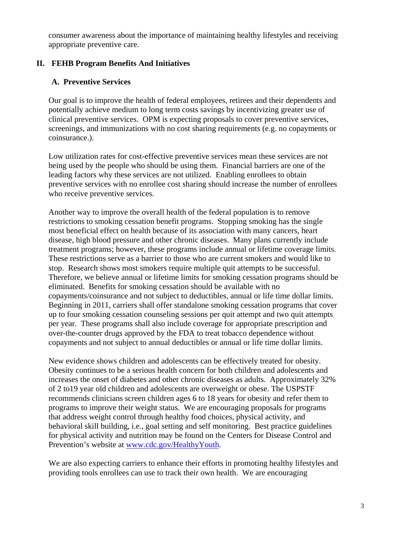consumer awareness about the importance of maintaining healthy lifestyles and receiving appropriate preventive care.

### **II. FEHB Program Benefits And Initiatives**

# **A. Preventive Services**

Our goal is to improve the health of federal employees, retirees and their dependents and potentially achieve medium to long term costs savings by incentivizing greater use of clinical preventive services. OPM is expecting proposals to cover preventive services, screenings, and immunizations with no cost sharing requirements (e.g. no copayments or coinsurance.).

Low utilization rates for cost-effective preventive services mean these services are not being used by the people who should be using them. Financial barriers are one of the leading factors why these services are not utilized. Enabling enrollees to obtain preventive services with no enrollee cost sharing should increase the number of enrollees who receive preventive services.

Another way to improve the overall health of the federal population is to remove restrictions to smoking cessation benefit programs. Stopping smoking has the single most beneficial effect on health because of its association with many cancers, heart disease, high blood pressure and other chronic diseases. Many plans currently include treatment programs; however, these programs include annual or lifetime coverage limits. These restrictions serve as a barrier to those who are current smokers and would like to stop. Research shows most smokers require multiple quit attempts to be successful. Therefore, we believe annual or lifetime limits for smoking cessation programs should be eliminated. Benefits for smoking cessation should be available with no copayments/coinsurance and not subject to deductibles, annual or life time dollar limits. Beginning in 2011, carriers shall offer standalone smoking cessation programs that cover up to four smoking cessation counseling sessions per quit attempt and two quit attempts per year. These programs shall also include coverage for appropriate prescription and over-the-counter drugs approved by the FDA to treat tobacco dependence without copayments and not subject to annual deductibles or annual or life time dollar limits.

New evidence shows children and adolescents can be effectively treated for obesity. Obesity continues to be a serious health concern for both children and adolescents and increases the onset of diabetes and other chronic diseases as adults. Approximately 32% of 2 to19 year old children and adolescents are overweight or obese. The USPSTF recommends clinicians screen children ages 6 to 18 years for obesity and refer them to programs to improve their weight status. We are encouraging proposals for programs that address weight control through healthy food choices, physical activity, and behavioral skill building, i.e., goal setting and self monitoring. Best practice guidelines for physical activity and nutrition may be found on the Centers for Disease Control and Prevention's website at [www.cdc.gov/HealthyYouth.](http://www.cdc.gov/HealthyYouth)

We are also expecting carriers to enhance their efforts in promoting healthy lifestyles and providing tools enrollees can use to track their own health. We are encouraging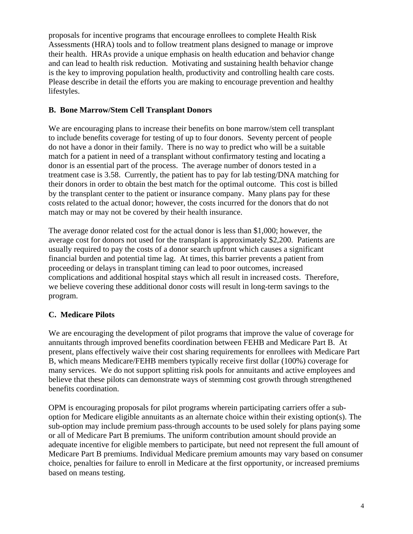proposals for incentive programs that encourage enrollees to complete Health Risk Assessments (HRA) tools and to follow treatment plans designed to manage or improve their health. HRAs provide a unique emphasis on health education and behavior change and can lead to health risk reduction. Motivating and sustaining health behavior change is the key to improving population health, productivity and controlling health care costs. Please describe in detail the efforts you are making to encourage prevention and healthy lifestyles.

### **B. Bone Marrow/Stem Cell Transplant Donors**

 We are encouraging plans to increase their benefits on bone marrow/stem cell transplant to include benefits coverage for testing of up to four donors. Seventy percent of people do not have a donor in their family. There is no way to predict who will be a suitable match for a patient in need of a transplant without confirmatory testing and locating a donor is an essential part of the process. The average number of donors tested in a treatment case is 3.58. Currently, the patient has to pay for lab testing/DNA matching for their donors in order to obtain the best match for the optimal outcome. This cost is billed by the transplant center to the patient or insurance company. Many plans pay for these costs related to the actual donor; however, the costs incurred for the donors that do not match may or may not be covered by their health insurance.

The average donor related cost for the actual donor is less than \$1,000; however, the average cost for donors not used for the transplant is approximately \$2,200. Patients are usually required to pay the costs of a donor search upfront which causes a significant financial burden and potential time lag. At times, this barrier prevents a patient from proceeding or delays in transplant timing can lead to poor outcomes, increased complications and additional hospital stays which all result in increased costs. Therefore, we believe covering these additional donor costs will result in long-term savings to the program.

# **C. Medicare Pilots**

We are encouraging the development of pilot programs that improve the value of coverage for annuitants through improved benefits coordination between FEHB and Medicare Part B. At present, plans effectively waive their cost sharing requirements for enrollees with Medicare Part B, which means Medicare/FEHB members typically receive first dollar (100%) coverage for many services. We do not support splitting risk pools for annuitants and active employees and believe that these pilots can demonstrate ways of stemming cost growth through strengthened benefits coordination.

OPM is encouraging proposals for pilot programs wherein participating carriers offer a suboption for Medicare eligible annuitants as an alternate choice within their existing option(s). The sub-option may include premium pass-through accounts to be used solely for plans paying some or all of Medicare Part B premiums. The uniform contribution amount should provide an adequate incentive for eligible members to participate, but need not represent the full amount of Medicare Part B premiums. Individual Medicare premium amounts may vary based on consumer choice, penalties for failure to enroll in Medicare at the first opportunity, or increased premiums based on means testing.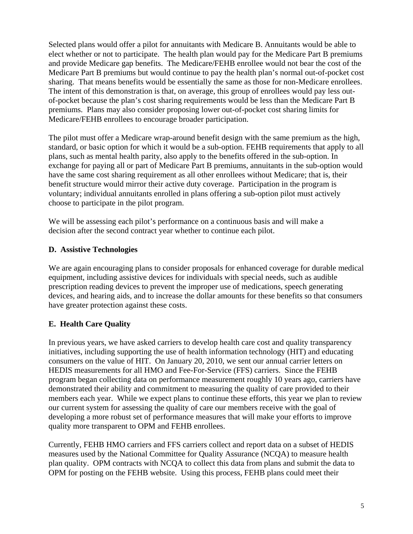Selected plans would offer a pilot for annuitants with Medicare B. Annuitants would be able to elect whether or not to participate. The health plan would pay for the Medicare Part B premiums and provide Medicare gap benefits. The Medicare/FEHB enrollee would not bear the cost of the Medicare Part B premiums but would continue to pay the health plan's normal out-of-pocket cost sharing. That means benefits would be essentially the same as those for non-Medicare enrollees. The intent of this demonstration is that, on average, this group of enrollees would pay less outof-pocket because the plan's cost sharing requirements would be less than the Medicare Part B premiums. Plans may also consider proposing lower out-of-pocket cost sharing limits for Medicare/FEHB enrollees to encourage broader participation.

The pilot must offer a Medicare wrap-around benefit design with the same premium as the high, standard, or basic option for which it would be a sub-option. FEHB requirements that apply to all plans, such as mental health parity, also apply to the benefits offered in the sub-option. In exchange for paying all or part of Medicare Part B premiums, annuitants in the sub-option would have the same cost sharing requirement as all other enrollees without Medicare; that is, their benefit structure would mirror their active duty coverage. Participation in the program is voluntary; individual annuitants enrolled in plans offering a sub-option pilot must actively choose to participate in the pilot program.

We will be assessing each pilot's performance on a continuous basis and will make a decision after the second contract year whether to continue each pilot.

# **D. Assistive Technologies**

We are again encouraging plans to consider proposals for enhanced coverage for durable medical equipment, including assistive devices for individuals with special needs, such as audible prescription reading devices to prevent the improper use of medications, speech generating devices, and hearing aids, and to increase the dollar amounts for these benefits so that consumers have greater protection against these costs.

# **E. Health Care Quality**

In previous years, we have asked carriers to develop health care cost and quality transparency initiatives, including supporting the use of health information technology (HIT) and educating consumers on the value of HIT. On January 20, 2010, we sent our annual carrier letters on HEDIS measurements for all HMO and Fee-For-Service (FFS) carriers. Since the FEHB program began collecting data on performance measurement roughly 10 years ago, carriers have demonstrated their ability and commitment to measuring the quality of care provided to their members each year. While we expect plans to continue these efforts, this year we plan to review our current system for assessing the quality of care our members receive with the goal of developing a more robust set of performance measures that will make your efforts to improve quality more transparent to OPM and FEHB enrollees.

Currently, FEHB HMO carriers and FFS carriers collect and report data on a subset of HEDIS measures used by the National Committee for Quality Assurance (NCQA) to measure health plan quality. OPM contracts with NCQA to collect this data from plans and submit the data to OPM for posting on the FEHB website. Using this process, FEHB plans could meet their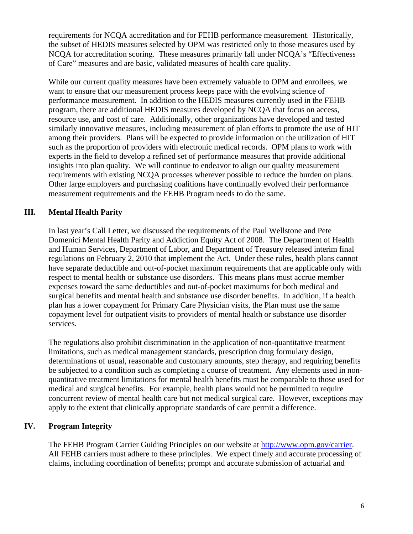requirements for NCQA accreditation and for FEHB performance measurement. Historically, the subset of HEDIS measures selected by OPM was restricted only to those measures used by NCQA for accreditation scoring. These measures primarily fall under NCQA's "Effectiveness of Care" measures and are basic, validated measures of health care quality.

While our current quality measures have been extremely valuable to OPM and enrollees, we want to ensure that our measurement process keeps pace with the evolving science of performance measurement. In addition to the HEDIS measures currently used in the FEHB program, there are additional HEDIS measures developed by NCQA that focus on access, resource use, and cost of care. Additionally, other organizations have developed and tested similarly innovative measures, including measurement of plan efforts to promote the use of HIT among their providers. Plans will be expected to provide information on the utilization of HIT such as the proportion of providers with electronic medical records. OPM plans to work with experts in the field to develop a refined set of performance measures that provide additional insights into plan quality. We will continue to endeavor to align our quality measurement requirements with existing NCQA processes wherever possible to reduce the burden on plans. Other large employers and purchasing coalitions have continually evolved their performance measurement requirements and the FEHB Program needs to do the same.

# **III. Mental Health Parity**

In last year's Call Letter, we discussed the requirements of the Paul Wellstone and Pete Domenici Mental Health Parity and Addiction Equity Act of 2008. The Department of Health and Human Services, Department of Labor, and Department of Treasury released interim final regulations on February 2, 2010 that implement the Act. Under these rules, health plans cannot have separate deductible and out-of-pocket maximum requirements that are applicable only with respect to mental health or substance use disorders. This means plans must accrue member expenses toward the same deductibles and out-of-pocket maximums for both medical and surgical benefits and mental health and substance use disorder benefits. In addition, if a health plan has a lower copayment for Primary Care Physician visits, the Plan must use the same copayment level for outpatient visits to providers of mental health or substance use disorder services.

The regulations also prohibit discrimination in the application of non-quantitative treatment limitations, such as medical management standards, prescription drug formulary design, determinations of usual, reasonable and customary amounts, step therapy, and requiring benefits be subjected to a condition such as completing a course of treatment. Any elements used in nonquantitative treatment limitations for mental health benefits must be comparable to those used for medical and surgical benefits. For example, health plans would not be permitted to require concurrent review of mental health care but not medical surgical care. However, exceptions may apply to the extent that clinically appropriate standards of care permit a difference.

### **IV. Program Integrity**

The FEHB Program Carrier Guiding Principles on our website at [http://www.opm.gov/carrier.](http://www.opm.gov/carrier) All FEHB carriers must adhere to these principles. We expect timely and accurate processing of claims, including coordination of benefits; prompt and accurate submission of actuarial and